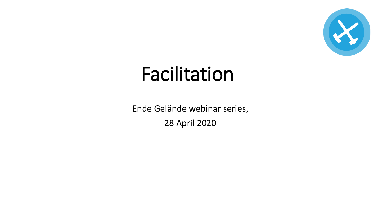

# Facilitation

Ende Gelände webinar series, 28 April 2020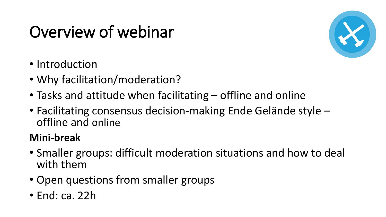# Overview of webinar



- Introduction
- Why facilitation/moderation?
- Tasks and attitude when facilitating offline and online
- Facilitating consensus decision-making Ende Gelände style offline and online

#### **Mini-break**

- Smaller groups: difficult moderation situations and how to deal with them
- Open questions from smaller groups
- End: ca. 22h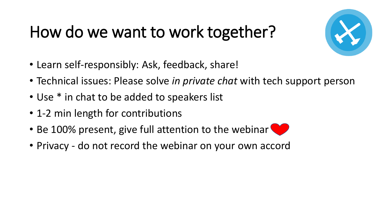### How do we want to work together?



- Learn self-responsibly: Ask, feedback, share!
- Technical issues: Please solve *in private chat* with tech support person
- Use \* in chat to be added to speakers list
- 1-2 min length for contributions
- Be 100% present, give full attention to the webinar
- Privacy do not record the webinar on your own accord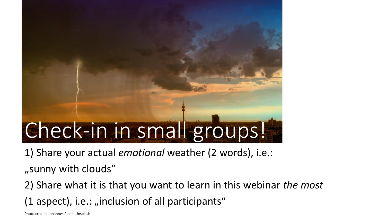# Check-in in small groups!

1) Share your actual *emotional* weather (2 words), i.e.:

"sunny with clouds"

2) Share what it is that you want to learn in this webinar *the most*  (1 aspect), i.e.: "inclusion of all participants"

Photo credits: Johannes Plenio Unsplash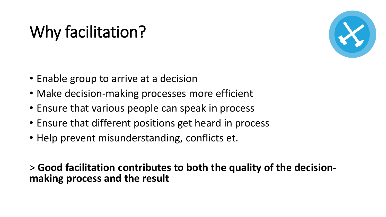# Why facilitation?



- Enable group to arrive at a decision
- Make decision-making processes more efficient
- Ensure that various people can speak in process
- Ensure that different positions get heard in process
- Help prevent misunderstanding, conflicts et.

> **Good facilitation contributes to both the quality of the decisionmaking process and the result**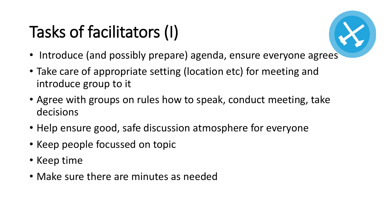# Tasks of facilitators (I)

- Introduce (and possibly prepare) agenda, ensure everyone agrees
- Take care of appropriate setting (location etc) for meeting and introduce group to it
- Agree with groups on rules how to speak, conduct meeting, take decisions
- Help ensure good, safe discussion atmosphere for everyone
- Keep people focussed on topic
- Keep time
- Make sure there are minutes as needed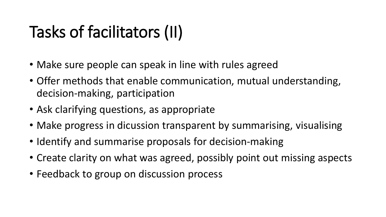# Tasks of facilitators (II)

- Make sure people can speak in line with rules agreed
- Offer methods that enable communication, mutual understanding, decision-making, participation
- Ask clarifying questions, as appropriate
- Make progress in dicussion transparent by summarising, visualising
- Identify and summarise proposals for decision-making
- Create clarity on what was agreed, possibly point out missing aspects
- Feedback to group on discussion process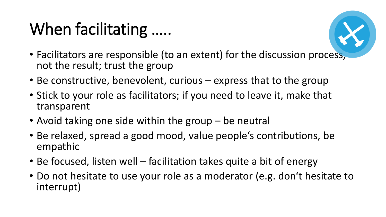# When facilitating .....



- Facilitators are responsible (to an extent) for the discussion process, not the result; trust the group
- Be constructive, benevolent, curious express that to the group
- Stick to your role as facilitators; if you need to leave it, make that transparent
- Avoid taking one side within the group be neutral
- Be relaxed, spread a good mood, value people's contributions, be empathic
- Be focused, listen well facilitation takes quite a bit of energy
- Do not hesitate to use your role as a moderator (e.g. don't hesitate to interrupt)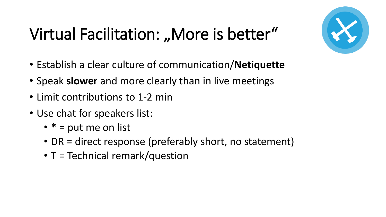# Virtual Facilitation: "More is better"

- Establish a clear culture of communication/**Netiquette**
- Speak **slower** and more clearly than in live meetings
- Limit contributions to 1-2 min
- Use chat for speakers list:
	- **\*** = put me on list
	- DR = direct response (preferably short, no statement)
	- T = Technical remark/question

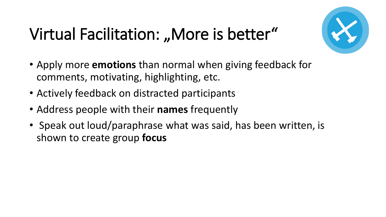# Virtual Facilitation: "More is better"



- Apply more **emotions** than normal when giving feedback for comments, motivating, highlighting, etc.
- Actively feedback on distracted participants
- Address people with their **names** frequently
- Speak out loud/paraphrase what was said, has been written, is shown to create group **focus**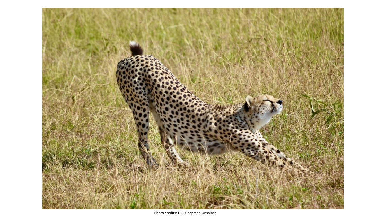

Photo credits: D.S. Chapman Unsplash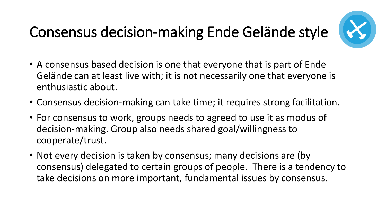#### Consensus decision-making Ende Gelände style



- A consensus based decision is one that everyone that is part of Ende Gelände can at least live with; it is not necessarily one that everyone is enthusiastic about.
- Consensus decision-making can take time; it requires strong facilitation.
- For consensus to work, groups needs to agreed to use it as modus of decision-making. Group also needs shared goal/willingness to cooperate/trust.
- Not every decision is taken by consensus; many decisions are (by consensus) delegated to certain groups of people. There is a tendency to take decisions on more important, fundamental issues by consensus.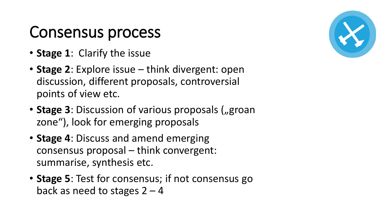### Consensus process

- **Stage 1**: Clarify the issue
- **Stage 2**: Explore issue think divergent: open discussion, different proposals, controversial points of view etc.
- Stage 3: Discussion of various proposals ("groan zone"), look for emerging proposals
- **Stage 4**: Discuss and amend emerging consensus proposal – think convergent: summarise, synthesis etc.
- **Stage 5**: Test for consensus; if not consensus go back as need to stages  $2 - 4$

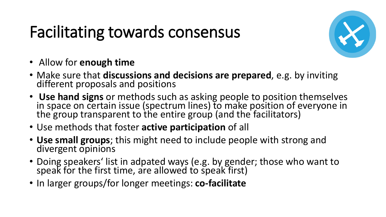### Facilitating towards consensus



- Allow for **enough time**
- Make sure that **discussions and decisions are prepared**, e.g. by inviting different proposals and positions
- **Use hand signs** or methods such as asking people to position themselves in space on certain issue (spectrum lines) to make position of everyone in the group transparent to the entire group (and the facilitators)
- Use methods that foster **active participation** of all
- **Use small groups**; this might need to include people with strong and divergent opinions
- Doing speakers' list in adpated ways (e.g. by gender; those who want to speak for the first time, are allowed to speak first)
- In larger groups/for longer meetings: **co-facilitate**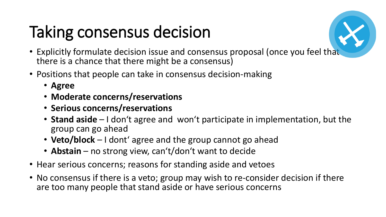# Taking consensus decision



- Explicitly formulate decision issue and consensus proposal (once you feel that there is a chance that there might be a consensus)
- Positions that people can take in consensus decision-making
	- **Agree**
	- **Moderate concerns/reservations**
	- **Serious concerns/reservations**
	- **Stand aside** I don't agree and won't participate in implementation, but the group can go ahead
	- **Veto/block** I dont' agree and the group cannot go ahead
	- **Abstain** no strong view, can't/don't want to decide
- Hear serious concerns; reasons for standing aside and vetoes
- No consensus if there is a veto; group may wish to re-consider decision if there are too many people that stand aside or have serious concerns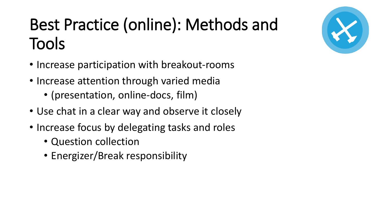# Best Practice (online): Methods and Tools

- Increase participation with breakout-rooms
- Increase attention through varied media
	- (presentation, online-docs, film)
- Use chat in a clear way and observe it closely
- Increase focus by delegating tasks and roles
	- Question collection
	- Energizer/Break responsibility

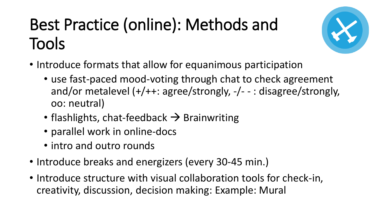# Best Practice (online): Methods and Tools



- Introduce formats that allow for equanimous participation
	- use fast-paced mood-voting through chat to check agreement and/or metalevel (+/++: agree/strongly, -/- - : disagree/strongly, oo: neutral)
	- flashlights, chat-feedback  $\rightarrow$  Brainwriting
	- parallel work in online-docs
	- intro and outro rounds
- Introduce breaks and energizers (every 30-45 min.)
- Introduce structure with visual collaboration tools for check-in, creativity, discussion, decision making: Example: Mural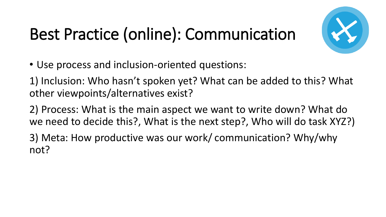# Best Practice (online): Communication



• Use process and inclusion-oriented questions:

1) Inclusion: Who hasn't spoken yet? What can be added to this? What other viewpoints/alternatives exist?

2) Process: What is the main aspect we want to write down? What do we need to decide this?, What is the next step?, Who will do task XYZ?)

3) Meta: How productive was our work/ communication? Why/why not?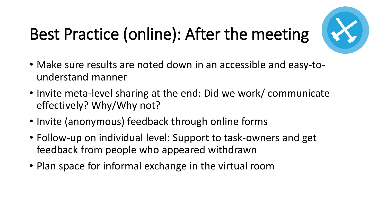# Best Practice (online): After the meeting



- Make sure results are noted down in an accessible and easy-tounderstand manner
- Invite meta-level sharing at the end: Did we work/ communicate effectively? Why/Why not?
- Invite (anonymous) feedback through online forms
- Follow-up on individual level: Support to task-owners and get feedback from people who appeared withdrawn
- Plan space for informal exchange in the virtual room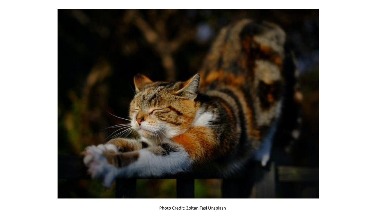

Photo Credit: Zoltan Tasi Unsplash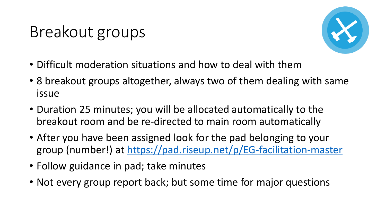### Breakout groups



- Difficult moderation situations and how to deal with them
- 8 breakout groups altogether, always two of them dealing with same issue
- Duration 25 minutes; you will be allocated automatically to the breakout room and be re-directed to main room automatically
- After you have been assigned look for the pad belonging to your group (number!) at <https://pad.riseup.net/p/EG-facilitation-master>
- Follow guidance in pad; take minutes
- Not every group report back; but some time for major questions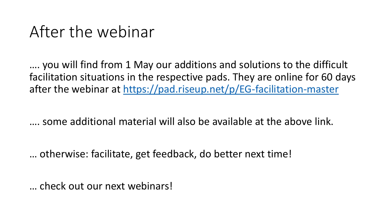#### After the webinar

…. you will find from 1 May our additions and solutions to the difficult facilitation situations in the respective pads. They are online for 60 days after the webinar at<https://pad.riseup.net/p/EG-facilitation-master>

…. some additional material will also be available at the above link.

… otherwise: facilitate, get feedback, do better next time!

… check out our next webinars!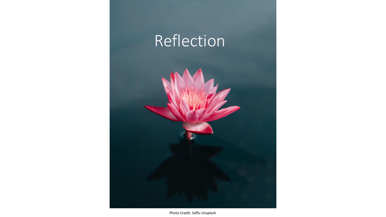

Photo Credit: Saffu Unsplash